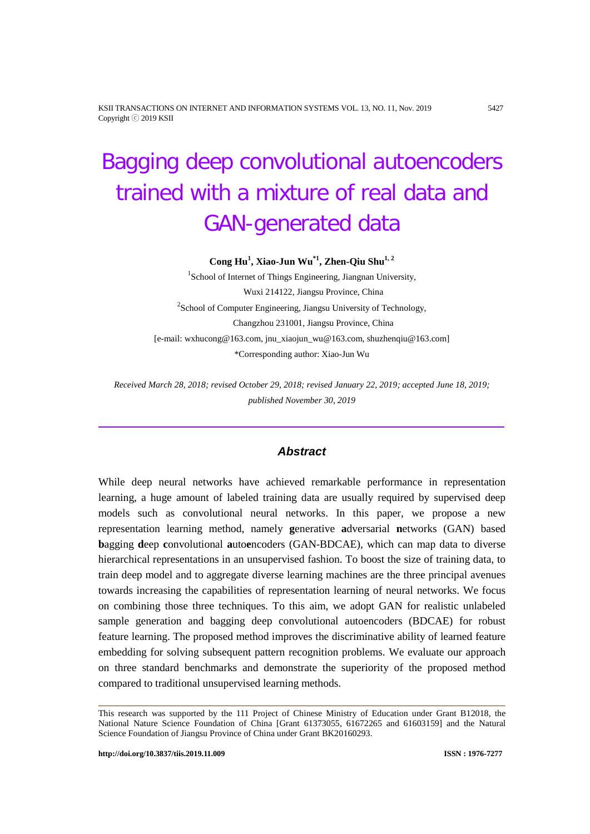KSII TRANSACTIONS ON INTERNET AND INFORMATION SYSTEMS VOL. 13, NO. 11, Nov. 2019 5427 Copyright ⓒ 2019 KSII

# Bagging deep convolutional autoencoders trained with a mixture of real data and GAN-generated data

**Cong Hu1 , Xiao-Jun Wu\*1 , Zhen-Qiu Shu1, <sup>2</sup>**

<sup>1</sup>School of Internet of Things Engineering, Jiangnan University, Wuxi 214122, Jiangsu Province, China <sup>2</sup>School of Computer Engineering, Jiangsu University of Technology, Changzhou 231001, Jiangsu Province, China [e-mail: wxhucong@163.com, jnu\_xiaojun\_wu@163.com, shuzhenqiu@163.com] \*Corresponding author: Xiao-Jun Wu

*Received March 28, 2018; revised October 29, 2018; revised January 22, 2019; accepted June 18, 2019; published November 30, 2019*

# *Abstract*

While deep neural networks have achieved remarkable performance in representation learning, a huge amount of labeled training data are usually required by supervised deep models such as convolutional neural networks. In this paper, we propose a new representation learning method, namely **g**enerative **a**dversarial **n**etworks (GAN) based **b**agging **deep convolutional autoencoders** (GAN-BDCAE), which can map data to diverse hierarchical representations in an unsupervised fashion. To boost the size of training data, to train deep model and to aggregate diverse learning machines are the three principal avenues towards increasing the capabilities of representation learning of neural networks. We focus on combining those three techniques. To this aim, we adopt GAN for realistic unlabeled sample generation and bagging deep convolutional autoencoders (BDCAE) for robust feature learning. The proposed method improves the discriminative ability of learned feature embedding for solving subsequent pattern recognition problems. We evaluate our approach on three standard benchmarks and demonstrate the superiority of the proposed method compared to traditional unsupervised learning methods.

This research was supported by the 111 Project of Chinese Ministry of Education under Grant B12018, the National Nature Science Foundation of China [Grant 61373055, 61672265 and 61603159] and the Natural Science Foundation of Jiangsu Province of China under Grant BK20160293.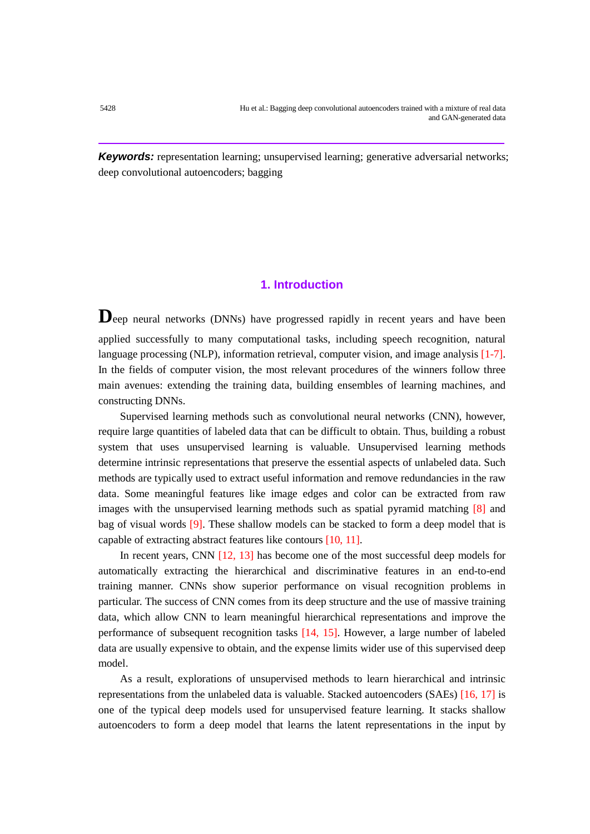**Keywords:** representation learning; unsupervised learning; generative adversarial networks; deep convolutional autoencoders; bagging

# **1. Introduction**

Deep neural networks (DNNs) have progressed rapidly in recent years and have been applied successfully to many computational tasks, including speech recognition, natural language processing (NLP), information retrieval, computer vision, and image analysis [1-7]. In the fields of computer vision, the most relevant procedures of the winners follow three main avenues: extending the training data, building ensembles of learning machines, and constructing DNNs.

Supervised learning methods such as convolutional neural networks (CNN), however, require large quantities of labeled data that can be difficult to obtain. Thus, building a robust system that uses unsupervised learning is valuable. Unsupervised learning methods determine intrinsic representations that preserve the essential aspects of unlabeled data. Such methods are typically used to extract useful information and remove redundancies in the raw data. Some meaningful features like image edges and color can be extracted from raw images with the unsupervised learning methods such as spatial pyramid matching [8] and bag of visual words [9]. These shallow models can be stacked to form a deep model that is capable of extracting abstract features like contours [10, 11].

In recent years, CNN [12, 13] has become one of the most successful deep models for automatically extracting the hierarchical and discriminative features in an end-to-end training manner. CNNs show superior performance on visual recognition problems in particular. The success of CNN comes from its deep structure and the use of massive training data, which allow CNN to learn meaningful hierarchical representations and improve the performance of subsequent recognition tasks [14, 15]. However, a large number of labeled data are usually expensive to obtain, and the expense limits wider use of this supervised deep model.

As a result, explorations of unsupervised methods to learn hierarchical and intrinsic representations from the unlabeled data is valuable. Stacked autoencoders (SAEs) [16, 17] is one of the typical deep models used for unsupervised feature learning. It stacks shallow autoencoders to form a deep model that learns the latent representations in the input by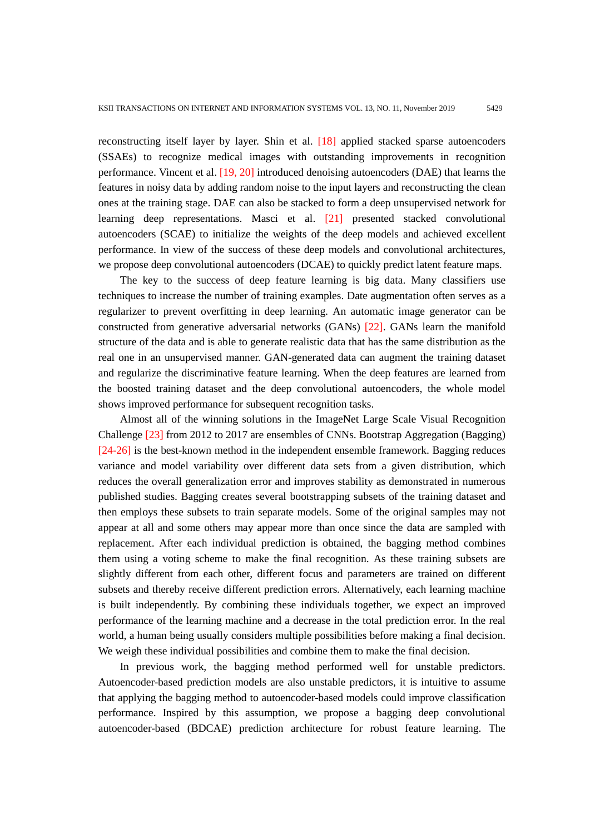reconstructing itself layer by layer. Shin et al. [18] applied stacked sparse autoencoders (SSAEs) to recognize medical images with outstanding improvements in recognition performance. Vincent et al. [19, 20] introduced denoising autoencoders (DAE) that learns the features in noisy data by adding random noise to the input layers and reconstructing the clean ones at the training stage. DAE can also be stacked to form a deep unsupervised network for learning deep representations. Masci et al. [21] presented stacked convolutional autoencoders (SCAE) to initialize the weights of the deep models and achieved excellent performance. In view of the success of these deep models and convolutional architectures, we propose deep convolutional autoencoders (DCAE) to quickly predict latent feature maps.

The key to the success of deep feature learning is big data. Many classifiers use techniques to increase the number of training examples. Date augmentation often serves as a regularizer to prevent overfitting in deep learning. An automatic image generator can be constructed from generative adversarial networks (GANs) [22]. GANs learn the manifold structure of the data and is able to generate realistic data that has the same distribution as the real one in an unsupervised manner. GAN-generated data can augment the training dataset and regularize the discriminative feature learning. When the deep features are learned from the boosted training dataset and the deep convolutional autoencoders, the whole model shows improved performance for subsequent recognition tasks.

Almost all of the winning solutions in the ImageNet Large Scale Visual Recognition Challenge [23] from 2012 to 2017 are ensembles of CNNs. Bootstrap Aggregation (Bagging) [24-26] is the best-known method in the independent ensemble framework. Bagging reduces variance and model variability over different data sets from a given distribution, which reduces the overall generalization error and improves stability as demonstrated in numerous published studies. Bagging creates several bootstrapping subsets of the training dataset and then employs these subsets to train separate models. Some of the original samples may not appear at all and some others may appear more than once since the data are sampled with replacement. After each individual prediction is obtained, the bagging method combines them using a voting scheme to make the final recognition. As these training subsets are slightly different from each other, different focus and parameters are trained on different subsets and thereby receive different prediction errors. Alternatively, each learning machine is built independently. By combining these individuals together, we expect an improved performance of the learning machine and a decrease in the total prediction error. In the real world, a human being usually considers multiple possibilities before making a final decision. We weigh these individual possibilities and combine them to make the final decision.

In previous work, the bagging method performed well for unstable predictors. Autoencoder-based prediction models are also unstable predictors, it is intuitive to assume that applying the bagging method to autoencoder-based models could improve classification performance. Inspired by this assumption, we propose a bagging deep convolutional autoencoder-based (BDCAE) prediction architecture for robust feature learning. The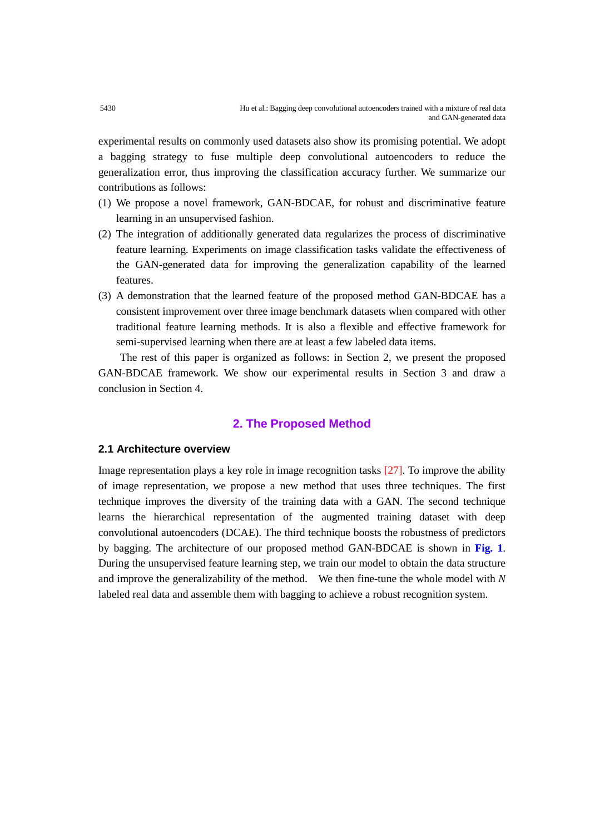experimental results on commonly used datasets also show its promising potential. We adopt a bagging strategy to fuse multiple deep convolutional autoencoders to reduce the generalization error, thus improving the classification accuracy further. We summarize our contributions as follows:

- (1) We propose a novel framework, GAN-BDCAE, for robust and discriminative feature learning in an unsupervised fashion.
- (2) The integration of additionally generated data regularizes the process of discriminative feature learning. Experiments on image classification tasks validate the effectiveness of the GAN-generated data for improving the generalization capability of the learned features.
- (3) A demonstration that the learned feature of the proposed method GAN-BDCAE has a consistent improvement over three image benchmark datasets when compared with other traditional feature learning methods. It is also a flexible and effective framework for semi-supervised learning when there are at least a few labeled data items.

The rest of this paper is organized as follows: in Section 2, we present the proposed GAN-BDCAE framework. We show our experimental results in Section 3 and draw a conclusion in Section 4.

# **2. The Proposed Method**

# **2.1 Architecture overview**

Image representation plays a key role in image recognition tasks [27]. To improve the ability of image representation, we propose a new method that uses three techniques. The first technique improves the diversity of the training data with a GAN. The second technique learns the hierarchical representation of the augmented training dataset with deep convolutional autoencoders (DCAE). The third technique boosts the robustness of predictors by bagging. The architecture of our proposed method GAN-BDCAE is shown in **Fig. 1**. During the unsupervised feature learning step, we train our model to obtain the data structure and improve the generalizability of the method. We then fine-tune the whole model with *N* labeled real data and assemble them with bagging to achieve a robust recognition system.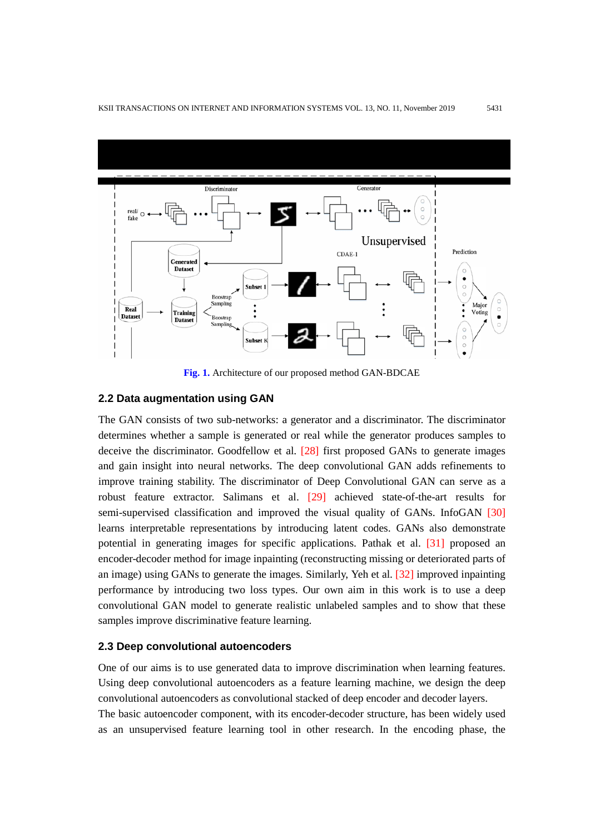

**Fig. 1.** Architecture of our proposed method GAN-BDCAE

## **2.2 Data augmentation using GAN**

The GAN consists of two sub-networks: a generator and a discriminator. The discriminator determines whether a sample is generated or real while the generator produces samples to deceive the discriminator. Goodfellow et al. [28] first proposed GANs to generate images and gain insight into neural networks. The deep convolutional GAN adds refinements to improve training stability. The discriminator of Deep Convolutional GAN can serve as a robust feature extractor. Salimans et al. [29] achieved state-of-the-art results for semi-supervised classification and improved the visual quality of GANs. InfoGAN [30] learns interpretable representations by introducing latent codes. GANs also demonstrate potential in generating images for specific applications. Pathak et al. [31] proposed an encoder-decoder method for image inpainting (reconstructing missing or deteriorated parts of an image) using GANs to generate the images. Similarly, Yeh et al. [32] improved inpainting performance by introducing two loss types. Our own aim in this work is to use a deep convolutional GAN model to generate realistic unlabeled samples and to show that these samples improve discriminative feature learning.

# **2.3 Deep convolutional autoencoders**

One of our aims is to use generated data to improve discrimination when learning features. Using deep convolutional autoencoders as a feature learning machine, we design the deep convolutional autoencoders as convolutional stacked of deep encoder and decoder layers. The basic autoencoder component, with its encoder-decoder structure, has been widely used as an unsupervised feature learning tool in other research. In the encoding phase, the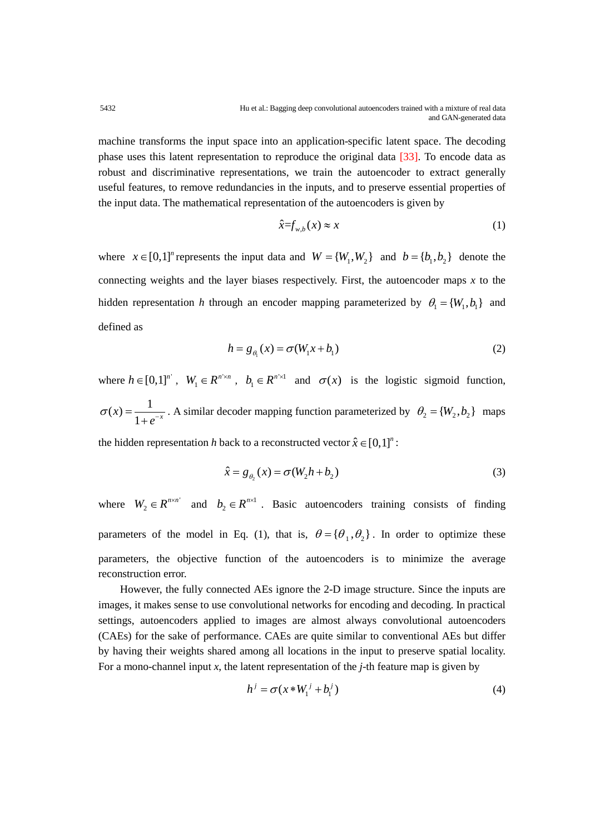machine transforms the input space into an application-specific latent space. The decoding phase uses this latent representation to reproduce the original data [33]. To encode data as robust and discriminative representations, we train the autoencoder to extract generally useful features, to remove redundancies in the inputs, and to preserve essential properties of the input data. The mathematical representation of the autoencoders is given by

$$
\hat{x} = f_{w,b}(x) \approx x \tag{1}
$$

where  $x \in [0,1]^n$  represents the input data and  $W = \{W_1, W_2\}$  and  $b = \{b_1, b_2\}$  denote the connecting weights and the layer biases respectively. First, the autoencoder maps *x* to the hidden representation *h* through an encoder mapping parameterized by  $\theta_1 = \{W_1, b_1\}$  and defined as

$$
h = g_{\theta_1}(x) = \sigma(W_1 x + b_1)
$$
 (2)

where  $h \in [0,1]^n$ ,  $W_1 \in R^{n \times n}$ ,  $b_1 \in R^{n \times 1}$  and  $\sigma(x)$  is the logistic sigmoid function,  $\sigma(x) = \frac{1}{1 + e^{-x}}$ . A similar decoder mapping function parameterized by  $\theta_2 = \{W_2, b_2\}$  maps

the hidden representation *h* back to a reconstructed vector  $\hat{x} \in [0,1]^n$ :

$$
\hat{x} = g_{\theta_2}(x) = \sigma(W_2 h + b_2)
$$
\n(3)

where  $W_2 \in R^{n \times n}$  and  $b_2 \in R^{n \times 1}$ . Basic autoencoders training consists of finding parameters of the model in Eq. (1), that is,  $\theta = {\theta_1, \theta_2}$ . In order to optimize these parameters, the objective function of the autoencoders is to minimize the average reconstruction error.

However, the fully connected AEs ignore the 2-D image structure. Since the inputs are images, it makes sense to use convolutional networks for encoding and decoding. In practical settings, autoencoders applied to images are almost always convolutional autoencoders (CAEs) for the sake of performance. CAEs are quite similar to conventional AEs but differ by having their weights shared among all locations in the input to preserve spatial locality. For a mono-channel input *x*, the latent representation of the *j*-th feature map is given by

$$
h^j = \sigma(x \ast W_1^j + b_1^j) \tag{4}
$$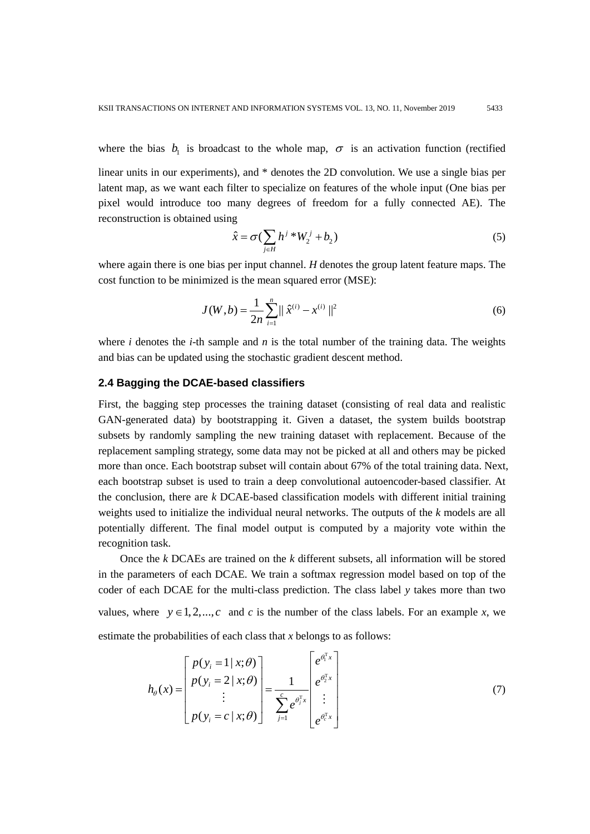where the bias  $b_i$  is broadcast to the whole map,  $\sigma$  is an activation function (rectified

linear units in our experiments), and \* denotes the 2D convolution. We use a single bias per latent map, as we want each filter to specialize on features of the whole input (One bias per pixel would introduce too many degrees of freedom for a fully connected AE). The reconstruction is obtained using

$$
\hat{x} = \sigma \left( \sum_{j \in H} h^j * W_2^j + b_2 \right) \tag{5}
$$

where again there is one bias per input channel. *H* denotes the group latent feature maps. The cost function to be minimized is the mean squared error (MSE):

$$
J(W, b) = \frac{1}{2n} \sum_{i=1}^{n} ||\hat{x}^{(i)} - x^{(i)}||^2
$$
 (6)

where  $i$  denotes the  $i$ -th sample and  $n$  is the total number of the training data. The weights and bias can be updated using the stochastic gradient descent method.

#### **2.4 Bagging the DCAE-based classifiers**

First, the bagging step processes the training dataset (consisting of real data and realistic GAN-generated data) by bootstrapping it. Given a dataset, the system builds bootstrap subsets by randomly sampling the new training dataset with replacement. Because of the replacement sampling strategy, some data may not be picked at all and others may be picked more than once. Each bootstrap subset will contain about 67% of the total training data. Next, each bootstrap subset is used to train a deep convolutional autoencoder-based classifier. At the conclusion, there are *k* DCAE-based classification models with different initial training weights used to initialize the individual neural networks. The outputs of the *k* models are all potentially different. The final model output is computed by a majority vote within the recognition task.

Once the *k* DCAEs are trained on the *k* different subsets, all information will be stored in the parameters of each DCAE. We train a softmax regression model based on top of the coder of each DCAE for the multi-class prediction. The class label *y* takes more than two values, where  $y \in 1, 2, \dots, c$  and *c* is the number of the class labels. For an example *x*, we estimate the probabilities of each class that *x* belongs to as follows:

$$
h_{\theta}(x) = \begin{bmatrix} p(y_i = 1 | x; \theta) \\ p(y_i = 2 | x; \theta) \\ \vdots \\ p(y_i = c | x; \theta) \end{bmatrix} = \frac{1}{\sum_{j=1}^{c} e^{\theta_j^{\mathrm{T}} x}} \begin{bmatrix} e^{\theta_1^{\mathrm{T}} x} \\ e^{\theta_2^{\mathrm{T}} x} \\ \vdots \\ e^{\theta_c^{\mathrm{T}} x} \end{bmatrix}
$$
(7)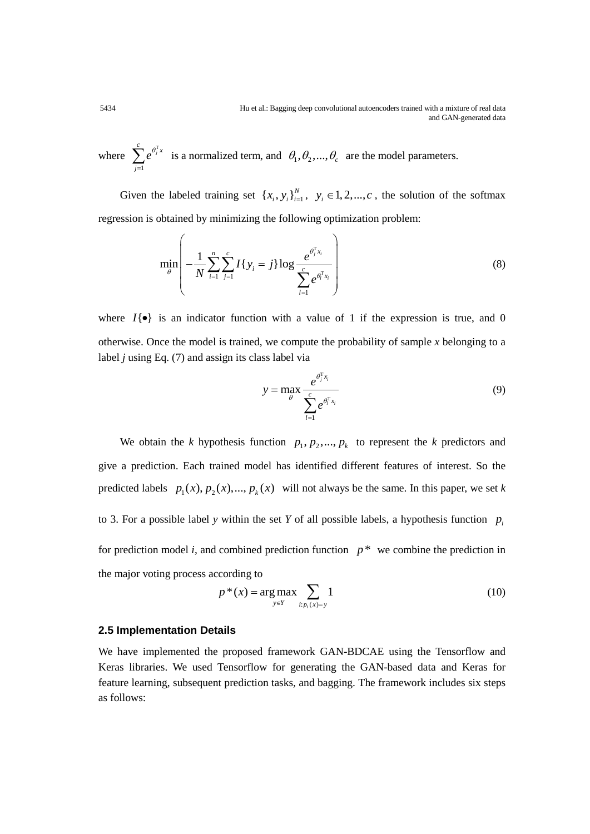where  $\sum_{j}^{\infty} e^{\theta_j^T}$ 1  $\int_a^c \theta_j^T x$ *j e* θ  $\sum_{j=1} e^{\theta_j^1 x}$  is a normalized term, and  $\theta_1, \theta_2, ..., \theta_c$  are the model parameters.

Given the labeled training set  $\{x_i, y_i\}_{i=1}^N$ ,  $y_i \in 1, 2, ..., c$ , the solution of the softmax regression is obtained by minimizing the following optimization problem:

$$
\min_{\theta} \left( -\frac{1}{N} \sum_{i=1}^{n} \sum_{j=1}^{c} I\{y_{i} = j\} \log \frac{e^{\theta_{j}^{T} x_{i}}}{\sum_{l=1}^{c} e^{\theta_{l}^{T} x_{i}}} \right)
$$
(8)

where  $I\{\bullet\}$  is an indicator function with a value of 1 if the expression is true, and 0 otherwise. Once the model is trained, we compute the probability of sample *x* belonging to a label *j* using Eq. (7) and assign its class label via

$$
y = \max_{\theta} \frac{e^{\theta_j^T x_i}}{\sum_{l=1}^c e^{\theta_l^T x_i}}
$$
(9)

We obtain the *k* hypothesis function  $p_1, p_2, ..., p_k$  to represent the *k* predictors and give a prediction. Each trained model has identified different features of interest. So the predicted labels  $p_1(x), p_2(x),..., p_k(x)$  will not always be the same. In this paper, we set *k* to 3. For a possible label *y* within the set *Y* of all possible labels, a hypothesis function  $p_i$ for prediction model *i*, and combined prediction function  $p^*$  we combine the prediction in the major voting process according to

$$
p^*(x) = \underset{y \in Y}{\arg \max} \sum_{i: p_i(x) = y} 1
$$
 (10)

#### **2.5 Implementation Details**

We have implemented the proposed framework GAN-BDCAE using the Tensorflow and Keras libraries. We used Tensorflow for generating the GAN-based data and Keras for feature learning, subsequent prediction tasks, and bagging. The framework includes six steps as follows: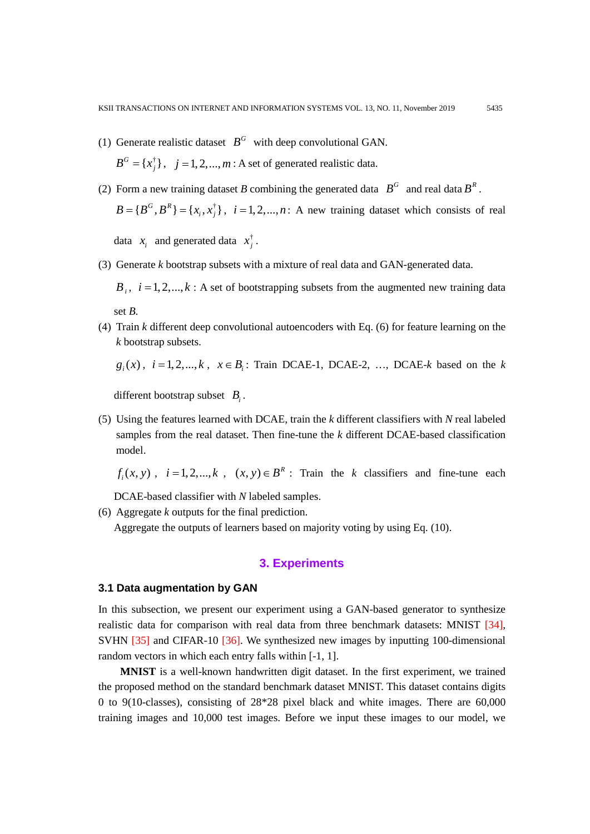- (1) Generate realistic dataset  $B^G$  with deep convolutional GAN.  $B^G = \{x_i^{\dagger}\}\,$ ,  $j = 1, 2, \dots, m$ : A set of generated realistic data.
- (2) Form a new training dataset *B* combining the generated data  $B^G$  and real data  $B^R$ .

 $B = \{B^G, B^R\} = \{x_i, x_i^{\dagger}\}\$ ,  $i = 1, 2, ..., n$ : A new training dataset which consists of real

data  $x_i$  and generated data  $x_j^{\dagger}$ .

(3) Generate *k* bootstrap subsets with a mixture of real data and GAN-generated data.

 $B_i$ ,  $i = 1, 2, \dots, k$ : A set of bootstrapping subsets from the augmented new training data set *B*.

(4) Train *k* different deep convolutional autoencoders with Eq. (6) for feature learning on the *k* bootstrap subsets.

 $g_i(x)$ ,  $i = 1, 2, ..., k$ ,  $x \in B$ : Train DCAE-1, DCAE-2, …, DCAE-*k* based on the *k* 

different bootstrap subset *B<sub>i</sub>*.

(5) Using the features learned with DCAE, train the *k* different classifiers with *N* real labeled samples from the real dataset. Then fine-tune the *k* different DCAE-based classification model.

 $f_i(x, y)$ ,  $i = 1, 2, ..., k$ ,  $(x, y) \in B^R$ : Train the *k* classifiers and fine-tune each

DCAE-based classifier with *N* labeled samples.

(6) Aggregate *k* outputs for the final prediction. Aggregate the outputs of learners based on majority voting by using Eq. (10).

#### **3. Experiments**

#### **3.1 Data augmentation by GAN**

In this subsection, we present our experiment using a GAN-based generator to synthesize realistic data for comparison with real data from three benchmark datasets: MNIST [34], SVHN [35] and CIFAR-10 [36]. We synthesized new images by inputting 100-dimensional random vectors in which each entry falls within [-1, 1].

**MNIST** is a well-known handwritten digit dataset. In the first experiment, we trained the proposed method on the standard benchmark dataset MNIST. This dataset contains digits 0 to 9(10-classes), consisting of 28\*28 pixel black and white images. There are 60,000 training images and 10,000 test images. Before we input these images to our model, we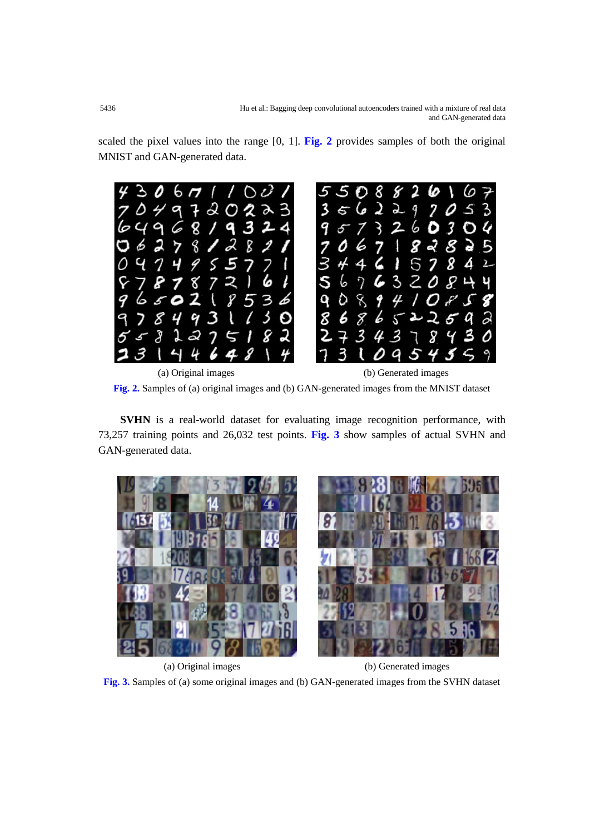scaled the pixel values into the range [0, 1]. **Fig. 2** provides samples of both the original MNIST and GAN-generated data.



**Fig. 2.** Samples of (a) original images and (b) GAN-generated images from the MNIST dataset

**SVHN** is a real-world dataset for evaluating image recognition performance, with 73,257 training points and 26,032 test points. **Fig. 3** show samples of actual SVHN and GAN-generated data.



(a) Original images (b) Generated images **Fig. 3.** Samples of (a) some original images and (b) GAN-generated images from the SVHN dataset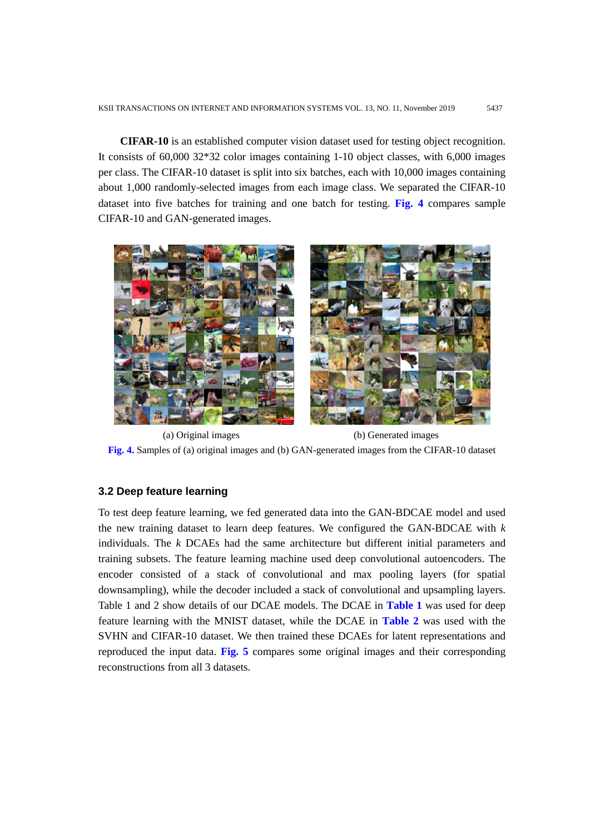**CIFAR-10** is an established computer vision dataset used for testing object recognition. It consists of 60,000 32\*32 color images containing 1-10 object classes, with 6,000 images per class. The CIFAR-10 dataset is split into six batches, each with 10,000 images containing about 1,000 randomly-selected images from each image class. We separated the CIFAR-10 dataset into five batches for training and one batch for testing. **Fig. 4** compares sample CIFAR-10 and GAN-generated images.



 (a) Original images (b) Generated images **Fig. 4.** Samples of (a) original images and (b) GAN-generated images from the CIFAR-10 dataset

#### **3.2 Deep feature learning**

To test deep feature learning, we fed generated data into the GAN-BDCAE model and used the new training dataset to learn deep features. We configured the GAN-BDCAE with *k*  individuals. The *k* DCAEs had the same architecture but different initial parameters and training subsets. The feature learning machine used deep convolutional autoencoders. The encoder consisted of a stack of convolutional and max pooling layers (for spatial downsampling), while the decoder included a stack of convolutional and upsampling layers. Table 1 and 2 show details of our DCAE models. The DCAE in **Table 1** was used for deep feature learning with the MNIST dataset, while the DCAE in **Table 2** was used with the SVHN and CIFAR-10 dataset. We then trained these DCAEs for latent representations and reproduced the input data. **Fig. 5** compares some original images and their corresponding reconstructions from all 3 datasets.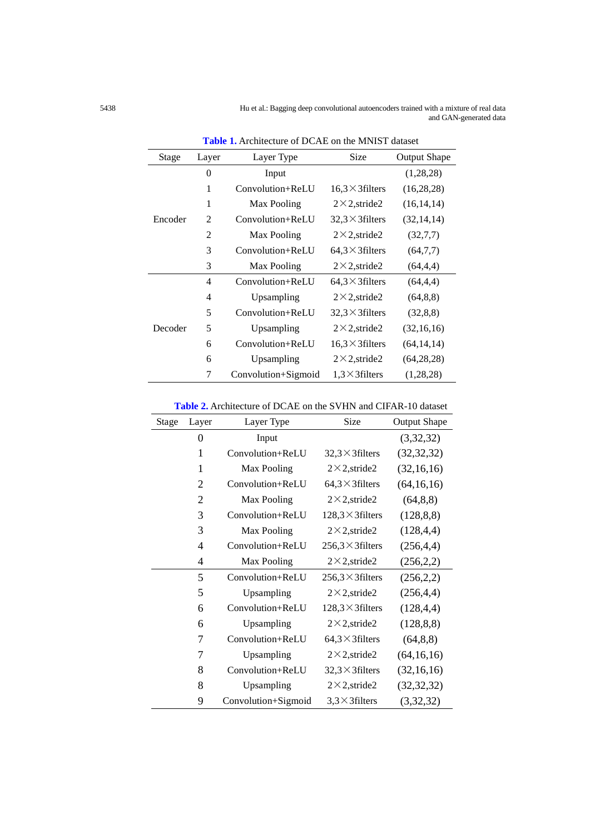5438 Hu et al.: Bagging deep convolutional autoencoders trained with a mixture of real data and GAN-generated data

| Stage   | Layer          | Size<br>Layer Type  |                         | <b>Output Shape</b> |  |
|---------|----------------|---------------------|-------------------------|---------------------|--|
| Encoder | $\theta$       | Input               |                         | (1,28,28)           |  |
|         | 1              | Convolution+ReLU    | $16,3 \times 3$ filters | (16, 28, 28)        |  |
|         | 1              | Max Pooling         | $2\times 2$ , stride 2  | (16, 14, 14)        |  |
|         | $\mathfrak{D}$ | Convolution+ReLU    | $32,3 \times 3$ filters | (32, 14, 14)        |  |
|         | 2              | Max Pooling         | $2\times 2$ , stride 2  | (32,7,7)            |  |
|         | 3              | Convolution+ReLU    | $64.3 \times 3$ filters | (64,7,7)            |  |
|         | 3              | Max Pooling         | $2\times 2$ , stride 2  | (64, 4, 4)          |  |
| Decoder | 4              | Convolution+ReLU    | $64.3 \times 3$ filters | (64, 4, 4)          |  |
|         | $\overline{4}$ | Upsampling          | $2\times 2$ , stride 2  | (64, 8, 8)          |  |
|         | 5              | Convolution+ReLU    | $32,3 \times 3$ filters | (32,8,8)            |  |
|         | 5              | Upsampling          | $2\times 2$ , stride 2  | (32,16,16)          |  |
|         | 6              | Convolution+ReLU    | $16.3 \times 3$ filters | (64, 14, 14)        |  |
|         | 6              | Upsampling          | $2\times 2$ , stride 2  | (64, 28, 28)        |  |
|         | 7              | Convolution+Sigmoid | $1.3 \times 3$ filters  | (1,28,28)           |  |

**Table 1.** Architecture of DCAE on the MNIST dataset

**Table 2.** Architecture of DCAE on the SVHN and CIFAR-10 dataset

| Stage | Layer | Size<br>Layer Type  |                          | <b>Output Shape</b> |  |
|-------|-------|---------------------|--------------------------|---------------------|--|
|       | 0     | Input               |                          | (3,32,32)           |  |
|       | 1     | Convolution+ReLU    | $32,3 \times 3$ filters  | (32, 32, 32)        |  |
|       | 1     | Max Pooling         | $2 \times 2$ , stride 2  | (32, 16, 16)        |  |
|       | 2     | Convolution+ReLU    | $64,3 \times 3$ filters  | (64, 16, 16)        |  |
|       | 2     | Max Pooling         | $2 \times 2$ , stride 2  | (64, 8, 8)          |  |
|       | 3     | Convolution+ReLU    | $128,3\times 3$ filters  | (128, 8, 8)         |  |
|       | 3     | Max Pooling         | $2\times 2$ , stride 2   | (128, 4, 4)         |  |
|       | 4     | Convolution+ReLU    | $256,3\times 3$ filters  | (256, 4, 4)         |  |
|       | 4     | Max Pooling         | $2 \times 2$ , stride 2  | (256, 2, 2)         |  |
|       | 5     | Convolution+ReLU    | $256,3 \times 3$ filters | (256, 2, 2)         |  |
|       | 5     | Upsampling          | $2\times 2$ , stride 2   | (256, 4, 4)         |  |
|       | 6     | Convolution+ReLU    | $128,3 \times 3$ filters | (128, 4, 4)         |  |
|       | 6     | Upsampling          | $2 \times 2$ , stride 2  | (128, 8, 8)         |  |
|       | 7     | Convolution+ReLU    | $64,3\times 3$ filters   | (64, 8, 8)          |  |
|       | 7     | Upsampling          | $2 \times 2$ , stride 2  | (64, 16, 16)        |  |
|       | 8     | Convolution+ReLU    | $32,3 \times 3$ filters  | (32,16,16)          |  |
|       | 8     | Upsampling          | $2\times 2$ , stride 2   | (32, 32, 32)        |  |
|       | 9     | Convolution+Sigmoid | $3,3 \times 3$ filters   | (3,32,32)           |  |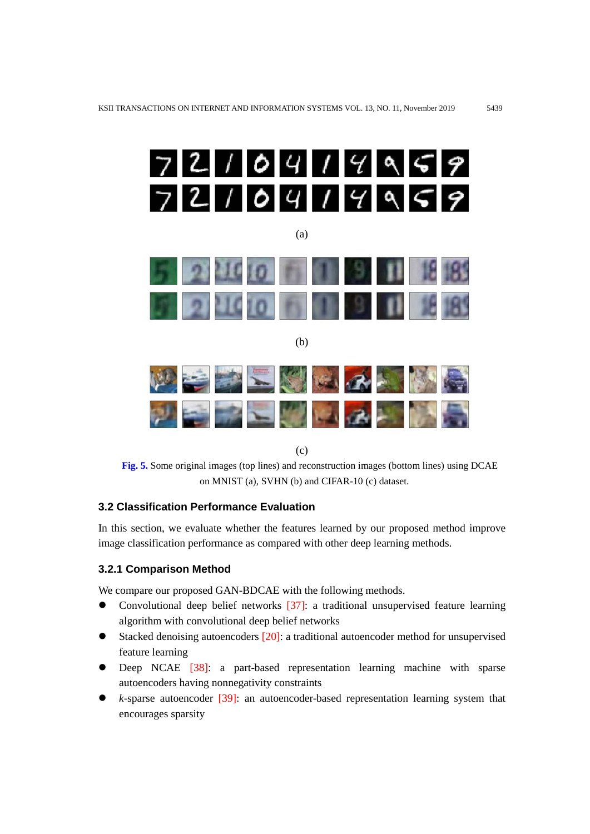# $7210414959$  $72104147777$





(b)



 $(c)$ 

 **Fig. 5.** Some original images (top lines) and reconstruction images (bottom lines) using DCAE on MNIST (a), SVHN (b) and CIFAR-10 (c) dataset.

# **3.2 Classification Performance Evaluation**

In this section, we evaluate whether the features learned by our proposed method improve image classification performance as compared with other deep learning methods.

# **3.2.1 Comparison Method**

We compare our proposed GAN-BDCAE with the following methods.

- Convolutional deep belief networks [37]: a traditional unsupervised feature learning algorithm with convolutional deep belief networks
- Stacked denoising autoencoders [20]: a traditional autoencoder method for unsupervised feature learning
- Deep NCAE [38]: a part-based representation learning machine with sparse autoencoders having nonnegativity constraints
- *k*-sparse autoencoder [39]: an autoencoder-based representation learning system that encourages sparsity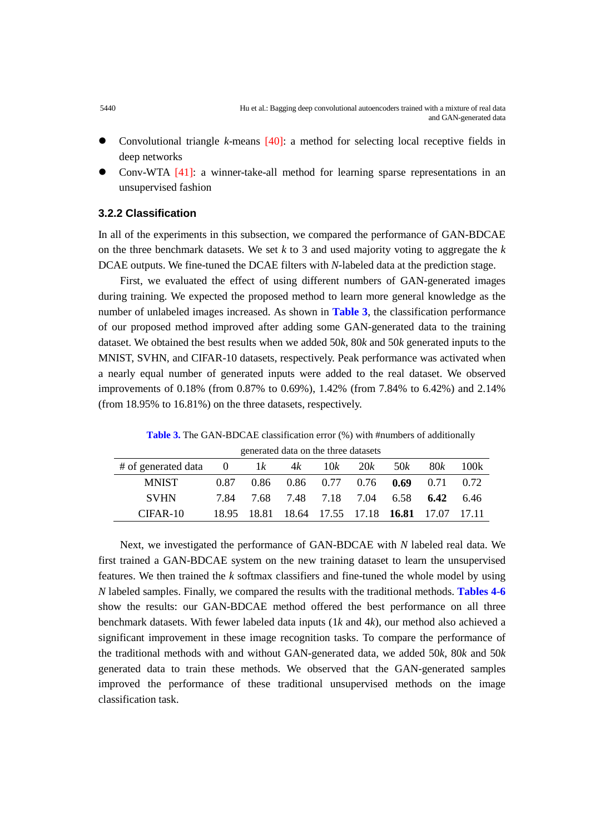- Convolutional triangle *k*-means [40]: a method for selecting local receptive fields in deep networks
- Conv-WTA [41]: a winner-take-all method for learning sparse representations in an unsupervised fashion

# **3.2.2 Classification**

In all of the experiments in this subsection, we compared the performance of GAN-BDCAE on the three benchmark datasets. We set *k* to 3 and used majority voting to aggregate the *k* DCAE outputs. We fine-tuned the DCAE filters with *N-*labeled data at the prediction stage.

First, we evaluated the effect of using different numbers of GAN-generated images during training. We expected the proposed method to learn more general knowledge as the number of unlabeled images increased. As shown in **Table 3**, the classification performance of our proposed method improved after adding some GAN-generated data to the training dataset. We obtained the best results when we added 50*k*, 80*k* and 50*k* generated inputs to the MNIST, SVHN, and CIFAR-10 datasets, respectively. Peak performance was activated when a nearly equal number of generated inputs were added to the real dataset. We observed improvements of 0.18% (from 0.87% to 0.69%), 1.42% (from 7.84% to 6.42%) and 2.14% (from 18.95% to 16.81%) on the three datasets, respectively.

**Table 3.** The GAN-BDCAE classification error (%) with #numbers of additionally generated data on the three datasets

| generated data on the time datasets |      |      |  |                                                 |     |     |     |      |
|-------------------------------------|------|------|--|-------------------------------------------------|-----|-----|-----|------|
| # of generated data $0$ 1k 4k 10k   |      |      |  |                                                 | 20k | 50k | 80k | 100k |
| <b>MNIST</b>                        | 0.87 | 0.86 |  | $0.86$ $0.77$ $0.76$ $0.69$ $0.71$              |     |     |     | 0.72 |
| <b>SVHN</b>                         | 7.84 |      |  | 7.68 7.48 7.18 7.04 6.58 6.42                   |     |     |     | 6.46 |
| $CIFAR-10$                          |      |      |  | 18.95 18.81 18.64 17.55 17.18 16.81 17.07 17.11 |     |     |     |      |

Next, we investigated the performance of GAN-BDCAE with *N* labeled real data. We first trained a GAN-BDCAE system on the new training dataset to learn the unsupervised features. We then trained the *k* softmax classifiers and fine-tuned the whole model by using *N* labeled samples. Finally, we compared the results with the traditional methods. **Tables 4-6** show the results: our GAN-BDCAE method offered the best performance on all three benchmark datasets. With fewer labeled data inputs (1*k* and 4*k*), our method also achieved a significant improvement in these image recognition tasks. To compare the performance of the traditional methods with and without GAN-generated data, we added 50*k*, 80*k* and 50*k* generated data to train these methods. We observed that the GAN-generated samples improved the performance of these traditional unsupervised methods on the image classification task.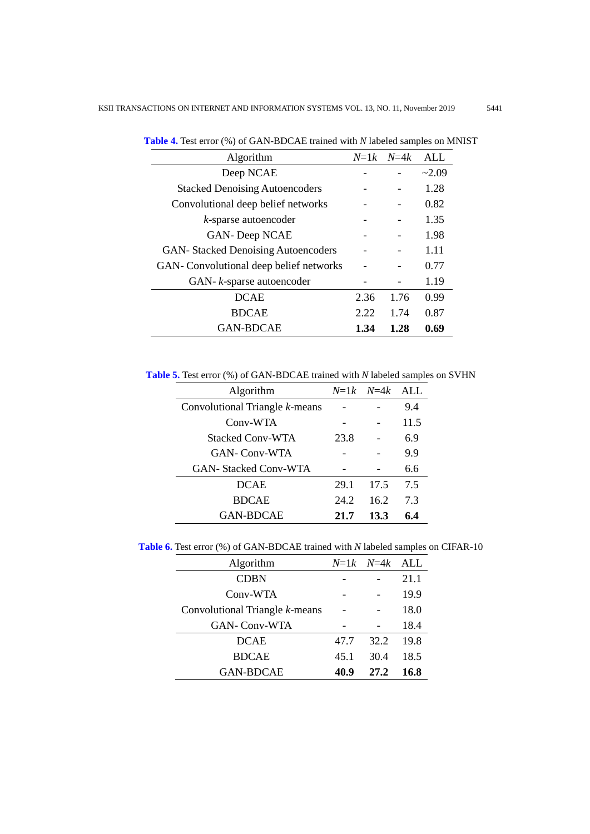| Algorithm                                 | $N=1k$ | $N = 4k$ | ALL   |
|-------------------------------------------|--------|----------|-------|
| Deep NCAE                                 |        |          | ~2.09 |
| <b>Stacked Denoising Autoencoders</b>     |        |          | 1.28  |
| Convolutional deep belief networks        |        |          | 0.82  |
| k-sparse autoencoder                      |        |          | 1.35  |
| GAN-Deep NCAE                             |        |          | 1.98  |
| <b>GAN-Stacked Denoising Autoencoders</b> |        |          | 1.11  |
| GAN- Convolutional deep belief networks   |        |          | 0.77  |
| GAN- $k$ -sparse autoencoder              |        |          | 1.19  |
| <b>DCAE</b>                               | 2.36   | 1.76     | 0.99  |
| <b>BDCAE</b>                              | 2.22   | 1.74     | 0.87  |
| <b>GAN-BDCAE</b>                          | 1.34   | 1.28     | 0.69  |

**Table 4.** Test error (%) of GAN-BDCAE trained with *N* labeled samples on MNIST

**Table 5.** Test error (%) of GAN-BDCAE trained with *N* labeled samples on SVHN

| Algorithm                      |      | $N=1k$ $N=4k$ | ALL  |
|--------------------------------|------|---------------|------|
| Convolutional Triangle k-means |      |               | 9.4  |
| Conv-WTA                       |      |               | 11.5 |
| <b>Stacked Conv-WTA</b>        | 23.8 |               | 6.9  |
| GAN-Conv-WTA                   |      |               | 9.9  |
| <b>GAN-</b> Stacked Conv-WTA   |      |               | 6.6  |
| <b>DCAE</b>                    | 29.1 | 17.5          | 7.5  |
| <b>BDCAE</b>                   | 24.2 | 16.2          | 7.3  |
| <b>GAN-BDCAE</b>               | 21.7 | 13.3          | 6.4  |

**Table 6.** Test error (%) of GAN-BDCAE trained with *N* labeled samples on CIFAR-10

| Algorithm                      |      | $N=1k$ $N=4k$ | ALL  |
|--------------------------------|------|---------------|------|
| <b>CDBN</b>                    |      |               | 21.1 |
| Conv-WTA                       |      |               | 19.9 |
| Convolutional Triangle k-means |      |               | 18.0 |
| <b>GAN-Conv-WTA</b>            |      |               | 18.4 |
| <b>DCAE</b>                    | 47.7 | 32.2          | 19.8 |
| <b>BDCAE</b>                   | 45.1 | 30.4          | 18.5 |
| <b>GAN-BDCAE</b>               | 40.9 | 27.2          | 16.8 |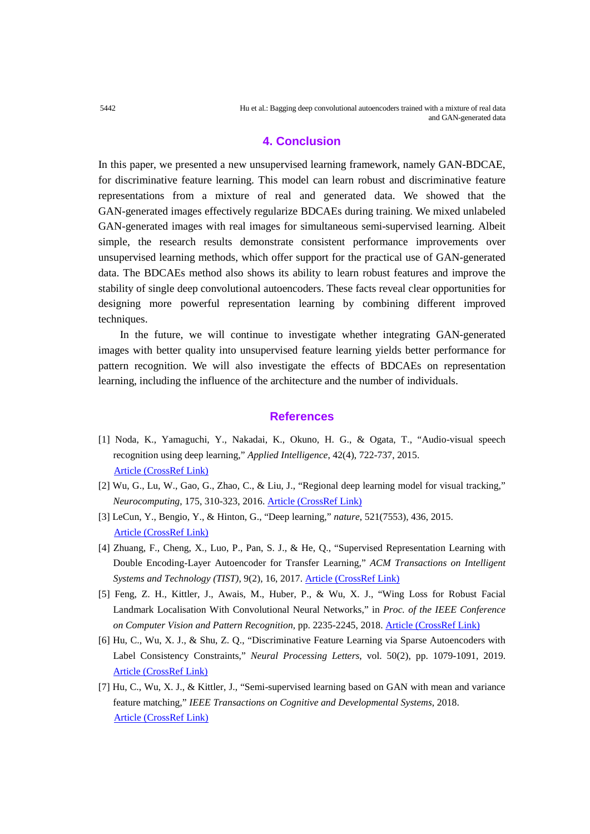5442 Hu et al.: Bagging deep convolutional autoencoders trained with a mixture of real data and GAN-generated data

### **4. Conclusion**

In this paper, we presented a new unsupervised learning framework, namely GAN-BDCAE, for discriminative feature learning. This model can learn robust and discriminative feature representations from a mixture of real and generated data. We showed that the GAN-generated images effectively regularize BDCAEs during training. We mixed unlabeled GAN-generated images with real images for simultaneous semi-supervised learning. Albeit simple, the research results demonstrate consistent performance improvements over unsupervised learning methods, which offer support for the practical use of GAN-generated data. The BDCAEs method also shows its ability to learn robust features and improve the stability of single deep convolutional autoencoders. These facts reveal clear opportunities for designing more powerful representation learning by combining different improved techniques.

In the future, we will continue to investigate whether integrating GAN-generated images with better quality into unsupervised feature learning yields better performance for pattern recognition. We will also investigate the effects of BDCAEs on representation learning, including the influence of the architecture and the number of individuals.

#### **References**

- [1] Noda, K., Yamaguchi, Y., Nakadai, K., Okuno, H. G., & Ogata, T., "Audio-visual speech recognition using deep learning," *Applied Intelligence*, 42(4), 722-737, 2015. [Article \(CrossRef Link\)](https://doi.org/10.1007/s10489-014-0629-7)
- [2] Wu, G., Lu, W., Gao, G., Zhao, C., & Liu, J., "Regional deep learning model for visual tracking," *Neurocomputing*, 175, 310-323, 2016. [Article \(CrossRef Link\)](https://doi.org/10.1016/j.neucom.2015.10.064)
- [3] LeCun, Y., Bengio, Y., & Hinton, G., "Deep learning," *nature*, 521(7553), 436, 2015. [Article \(CrossRef Link\)](https://doi.org/10.1038/nature14539)
- [4] Zhuang, F., Cheng, X., Luo, P., Pan, S. J., & He, Q., "Supervised Representation Learning with Double Encoding-Layer Autoencoder for Transfer Learning," *ACM Transactions on Intelligent Systems and Technology (TIST)*, 9(2), 16, 2017. [Article \(CrossRef Link\)](https://doi.org/10.1145/3108257)
- [5] Feng, Z. H., Kittler, J., Awais, M., Huber, P., & Wu, X. J., "Wing Loss for Robust Facial Landmark Localisation With Convolutional Neural Networks," in *Proc. of the IEEE Conference on Computer Vision and Pattern Recognition,* pp. 2235-2245, 2018. [Article \(CrossRef Link\)](https://doi.org/10.1109/CVPR.2018.00238)
- [6] Hu, C., Wu, X. J., & Shu, Z. Q., "Discriminative Feature Learning via Sparse Autoencoders with Label Consistency Constraints," *Neural Processing Letters*, vol. 50(2), pp. 1079-1091, 2019. [Article \(CrossRef Link\)](https://doi.org/10.1007/s11063-018-9898-1)
- [7] Hu, C., Wu, X. J., & Kittler, J., "Semi-supervised learning based on GAN with mean and variance feature matching," *IEEE Transactions on Cognitive and Developmental Systems*, 2018. [Article \(CrossRef Link\)](https://doi.org/10.1109/TCDS.2018.2875462)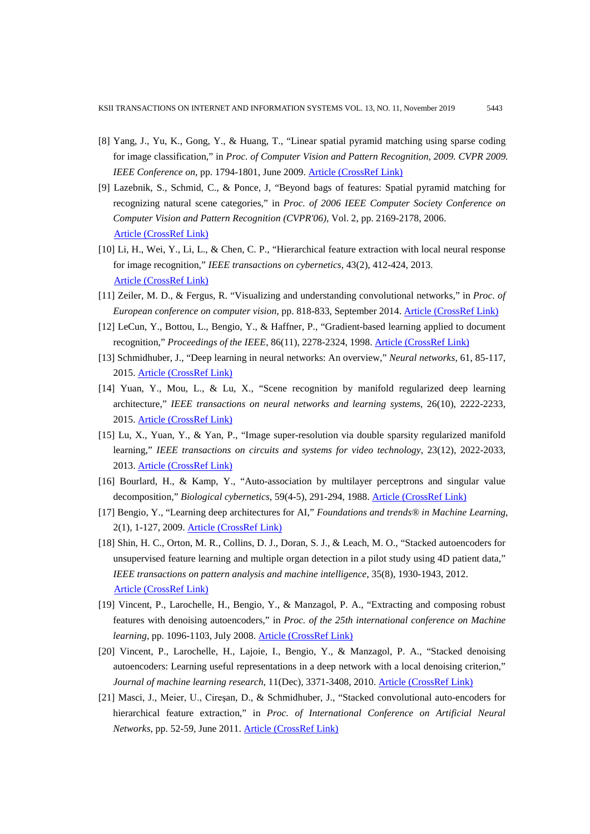- [8] Yang, J., Yu, K., Gong, Y., & Huang, T., "Linear spatial pyramid matching using sparse coding for image classification," in *Proc. of Computer Vision and Pattern Recognition, 2009. CVPR 2009. IEEE Conference on*, pp. 1794-1801, June 2009. [Article \(CrossRef Link\)](https://doi.org/10.1109/CVPR.2009.5206757)
- [9] Lazebnik, S., Schmid, C., & Ponce, J, "Beyond bags of features: Spatial pyramid matching for recognizing natural scene categories," in *Proc. of 2006 IEEE Computer Society Conference on Computer Vision and Pattern Recognition (CVPR'06)*, Vol. 2, pp. 2169-2178, 2006. [Article \(CrossRef Link\)](https://doi.org/10.1109/CVPR.2006.68)
- [10] Li, H., Wei, Y., Li, L., & Chen, C. P., "Hierarchical feature extraction with local neural response for image recognition," *IEEE transactions on cybernetics*, 43(2), 412-424, 2013. [Article \(CrossRef](https://doi.org/10.1109/TSMCB.2012.2208743) Link)
- [11] Zeiler, M. D., & Fergus, R. "Visualizing and understanding convolutional networks," in *Proc. of European conference on computer vision*, pp. 818-833, September 2014. Article [\(CrossRef Link\)](https://doi.org/10.1007/978-3-319-10590-1_53)
- [12] LeCun, Y., Bottou, L., Bengio, Y., & Haffner, P., "Gradient-based learning applied to document recognition," *Proceedings of the IEEE*, 86(11), 2278-2324, 1998. [Article \(CrossRef Link\)](https://doi.org/10.1109/5.726791)
- [13] Schmidhuber, J., "Deep learning in neural networks: An overview," *Neural networks*, 61, 85-117, 2015. [Article \(CrossRef Link\)](https://doi.org/10.1016/j.neunet.2014.09.003)
- [14] Yuan, Y., Mou, L., & Lu, X., "Scene recognition by manifold regularized deep learning architecture," *IEEE transactions on neural networks and learning systems*, 26(10), 2222-2233, 2015. [Article \(CrossRef Link\)](https://doi.org/10.1109/TNNLS.2014.2359471)
- [15] Lu, X., Yuan, Y., & Yan, P., "Image super-resolution via double sparsity regularized manifold learning," *IEEE transactions on circuits and systems for video technology*, 23(12), 2022-2033, 2013. [Article \(CrossRef Link\)](https://doi.org/10.1109/TCSVT.2013.2244798)
- [16] Bourlard, H., & Kamp, Y., "Auto-association by multilayer perceptrons and singular value decomposition," *Biological cybernetics*, 59(4-5), 291-294, 1988. [Article \(CrossRef Link\)](https://doi.org/10.1007/BF00332918)
- [17] Bengio, Y., "Learning deep architectures for AI," *Foundations and trends® in Machine Learning*, 2(1), 1-127, 2009. [Article \(CrossRef Link\)](https://doi.org/10.1561/2200000006)
- [18] Shin, H. C., Orton, M. R., Collins, D. J., Doran, S. J., & Leach, M. O., "Stacked autoencoders for unsupervised feature learning and multiple organ detection in a pilot study using 4D patient data," *IEEE transactions on pattern analysis and machine intelligence*, 35(8), 1930-1943, 2012. [Article \(CrossRef Link\)](https://doi.org/10.1109/TPAMI.2012.277)
- [19] Vincent, P., Larochelle, H., Bengio, Y., & Manzagol, P. A., "Extracting and composing robust features with denoising autoencoders," in *Proc. of the 25th international conference on Machine learning*, pp. 1096-1103, July 2008[. Article \(CrossRef Link\)](https://doi.org/10.1145/1390156.1390294)
- [20] Vincent, P., Larochelle, H., Lajoie, I., Bengio, Y., & Manzagol, P. A., "Stacked denoising autoencoders: Learning useful representations in a deep network with a local denoising criterion," *Journal of machine learning research*, 11(Dec), 3371-3408, 2010. [Article \(CrossRef Link\)](https://dl.acm.org/citation.cfm?id=1953039)
- [21] Masci, J., Meier, U., Cireşan, D., & Schmidhuber, J., "Stacked convolutional auto-encoders for hierarchical feature extraction," in *Proc. of International Conference on Artificial Neural Networks*, pp. 52-59, June 2011. [Article \(CrossRef Link\)](https://doi.org/10.1007/978-3-642-21735-7_7)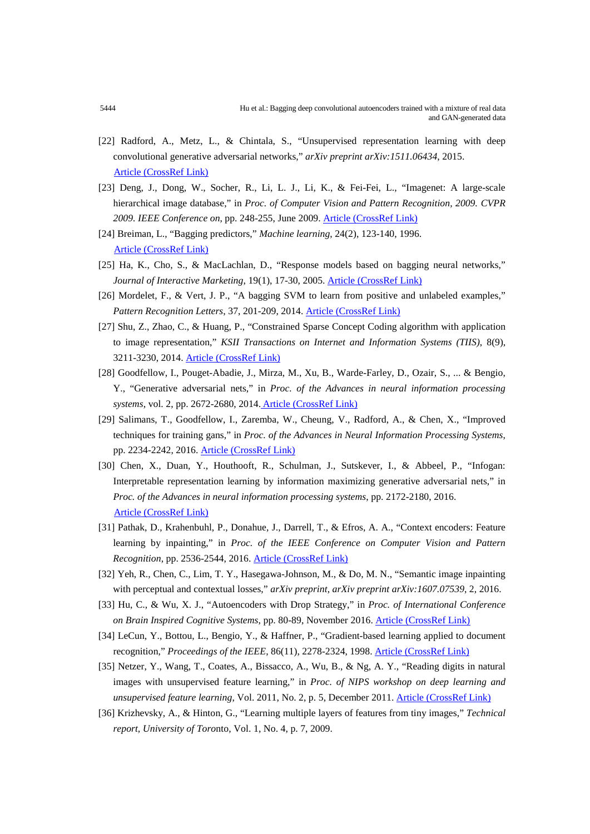- [22] Radford, A., Metz, L., & Chintala, S., "Unsupervised representation learning with deep convolutional generative adversarial networks," *arXiv preprint arXiv:1511.06434*, 2015. [Article \(CrossRef Link\)](https://arxiv.org/abs/1511.06434)
- [23] Deng, J., Dong, W., Socher, R., Li, L. J., Li, K., & Fei-Fei, L., "Imagenet: A large-scale hierarchical image database," in *Proc. of Computer Vision and Pattern Recognition, 2009. CVPR 2009. IEEE Conference on*, pp. 248-255, June 2009. [Article \(CrossRef Link\)](https://doi.org/10.1109/CVPR.2009.5206848)
- [24] Breiman, L., "Bagging predictors," *Machine learning*, 24(2), 123-140, 1996. [Article \(CrossRef Link\)](https://doi.org/10.1007/BF00058655)
- [25] Ha, K., Cho, S., & MacLachlan, D., "Response models based on bagging neural networks," *Journal of Interactive Marketing*, 19(1), 17-30, 2005. [Article \(CrossRef](https://doi.org/10.1002/dir.20028) Link)
- [26] Mordelet, F., & Vert, J. P., "A bagging SVM to learn from positive and unlabeled examples," *Pattern Recognition Letters*, 37, 201-209, 2014. [Article \(CrossRef Link\)](https://doi.org/10.1016/j.patrec.2013.06.010)
- [27] Shu, Z., Zhao, C., & Huang, P., "Constrained Sparse Concept Coding algorithm with application to image representation," *KSII Transactions on Internet and Information Systems (TIIS)*, 8(9), 3211-3230, 2014. [Article \(CrossRef Link\)](https://doi.org/10.3837/tiis.2014.09.015)
- [28] Goodfellow, I., Pouget-Abadie, J., Mirza, M., Xu, B., Warde-Farley, D., Ozair, S., ... & Bengio, Y., "Generative adversarial nets," in *Proc. of the Advances in neural information processing systems*, vol. 2, pp. 2672-2680, 2014. [Article \(CrossRef Link\)](https://dl.acm.org/citation.cfm?id=2969125)
- [29] Salimans, T., Goodfellow, I., Zaremba, W., Cheung, V., Radford, A., & Chen, X., "Improved techniques for training gans," in *Proc. of the Advances in Neural Information Processing Systems*, pp. 2234-2242, 2016. [Article \(CrossRef Link\)](https://dl.acm.org/citation.cfm?id=3157346)
- [30] Chen, X., Duan, Y., Houthooft, R., Schulman, J., Sutskever, I., & Abbeel, P., "Infogan: Interpretable representation learning by information maximizing generative adversarial nets," in *Proc. of the Advances in neural information processing systems*, pp. 2172-2180, 2016. [Article \(CrossRef Link\)](https://dl.acm.org/citation.cfm?id=3157340)
- [31] Pathak, D., Krahenbuhl, P., Donahue, J., Darrell, T., & Efros, A. A., "Context encoders: Feature learning by inpainting," in *Proc. of the IEEE Conference on Computer Vision and Pattern Recognition*, pp. 2536-2544, 2016. [Article \(CrossRef Link\)](https://doi.org/10.1109/CVPR.2016.278)
- [32] Yeh, R., Chen, C., Lim, T. Y., Hasegawa-Johnson, M., & Do, M. N., "Semantic image inpainting with perceptual and contextual losses," *arXiv preprint, arXiv preprint arXiv:1607.07539*, 2, 2016.
- [33] Hu, C., & Wu, X. J., "Autoencoders with Drop Strategy," in *Proc. of International Conference on Brain Inspired Cognitive Systems*, pp. 80-89, November 2016. [Article \(CrossRef Link\)](https://doi.org/10.1007/978-3-319-49685-6_8)
- [34] LeCun, Y., Bottou, L., Bengio, Y., & Haffner, P., "Gradient-based learning applied to document recognition," Proceedings of the IEEE, 86(11), 2278-2324, 1998. [Article \(CrossRef Link\)](https://doi.org/10.1109/5.726791)
- [35] Netzer, Y., Wang, T., Coates, A., Bissacco, A., Wu, B., & Ng, A. Y., "Reading digits in natural images with unsupervised feature learning," in *Proc. of NIPS workshop on deep learning and unsupervised feature learning*, Vol. 2011, No. 2, p. 5, December 2011. [Article \(CrossRef Link\)](https://www.semanticscholar.org/paper/Reading-Digits-in-Natural-Images-with-Unsupervised-Netzer-Wang/02227c94dd41fe0b439e050d377b0beb5d427cda)
- [36] Krizhevsky, A., & Hinton, G., "Learning multiple layers of features from tiny images," *Technical report, University of Toro*nto, Vol. 1, No. 4, p. 7, 2009.